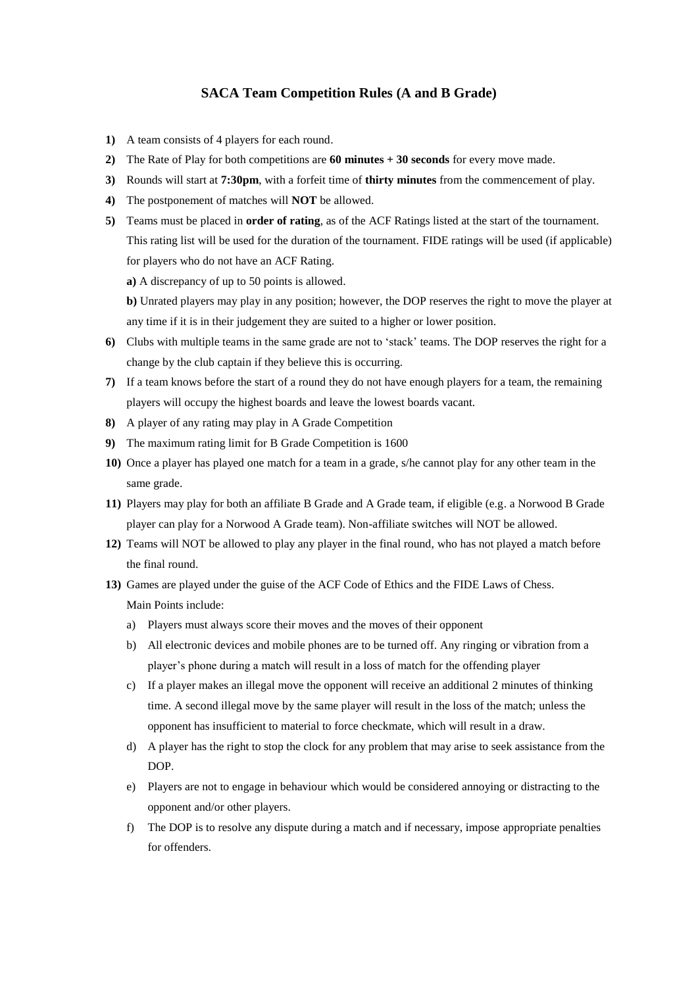## **SACA Team Competition Rules (A and B Grade)**

- **1)** A team consists of 4 players for each round.
- **2)** The Rate of Play for both competitions are **60 minutes + 30 seconds** for every move made.
- **3)** Rounds will start at **7:30pm**, with a forfeit time of **thirty minutes** from the commencement of play.
- **4)** The postponement of matches will **NOT** be allowed.
- **5)** Teams must be placed in **order of rating**, as of the ACF Ratings listed at the start of the tournament. This rating list will be used for the duration of the tournament. FIDE ratings will be used (if applicable) for players who do not have an ACF Rating.

**a)** A discrepancy of up to 50 points is allowed.

**b)** Unrated players may play in any position; however, the DOP reserves the right to move the player at any time if it is in their judgement they are suited to a higher or lower position.

- **6)** Clubs with multiple teams in the same grade are not to 'stack' teams. The DOP reserves the right for a change by the club captain if they believe this is occurring.
- **7)** If a team knows before the start of a round they do not have enough players for a team, the remaining players will occupy the highest boards and leave the lowest boards vacant.
- **8)** A player of any rating may play in A Grade Competition
- **9)** The maximum rating limit for B Grade Competition is 1600
- **10)** Once a player has played one match for a team in a grade, s/he cannot play for any other team in the same grade.
- **11)** Players may play for both an affiliate B Grade and A Grade team, if eligible (e.g. a Norwood B Grade player can play for a Norwood A Grade team). Non-affiliate switches will NOT be allowed.
- **12)** Teams will NOT be allowed to play any player in the final round, who has not played a match before the final round.
- **13)** Games are played under the guise of the ACF Code of Ethics and the FIDE Laws of Chess. Main Points include:
	- a) Players must always score their moves and the moves of their opponent
	- b) All electronic devices and mobile phones are to be turned off. Any ringing or vibration from a player's phone during a match will result in a loss of match for the offending player
	- c) If a player makes an illegal move the opponent will receive an additional 2 minutes of thinking time. A second illegal move by the same player will result in the loss of the match; unless the opponent has insufficient to material to force checkmate, which will result in a draw.
	- d) A player has the right to stop the clock for any problem that may arise to seek assistance from the DOP.
	- e) Players are not to engage in behaviour which would be considered annoying or distracting to the opponent and/or other players.
	- f) The DOP is to resolve any dispute during a match and if necessary, impose appropriate penalties for offenders.